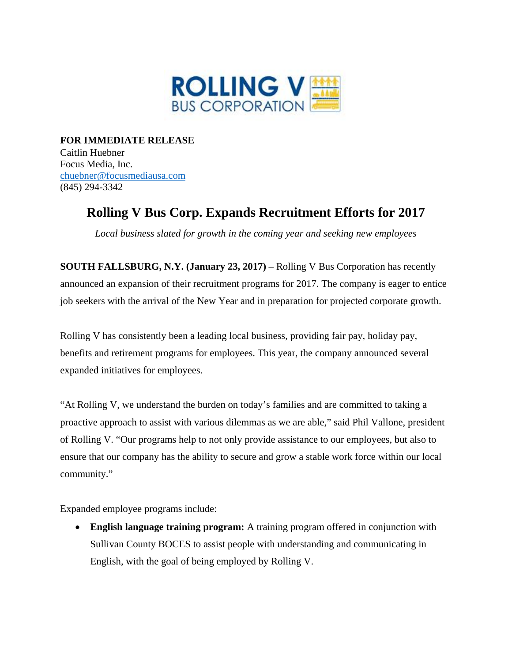

**FOR IMMEDIATE RELEASE**  Caitlin Huebner Focus Media, Inc. chuebner@focusmediausa.com (845) 294-3342

## **Rolling V Bus Corp. Expands Recruitment Efforts for 2017**

*Local business slated for growth in the coming year and seeking new employees* 

**SOUTH FALLSBURG, N.Y. (January 23, 2017)** – Rolling V Bus Corporation has recently announced an expansion of their recruitment programs for 2017. The company is eager to entice job seekers with the arrival of the New Year and in preparation for projected corporate growth.

Rolling V has consistently been a leading local business, providing fair pay, holiday pay, benefits and retirement programs for employees. This year, the company announced several expanded initiatives for employees.

"At Rolling V, we understand the burden on today's families and are committed to taking a proactive approach to assist with various dilemmas as we are able," said Phil Vallone, president of Rolling V. "Our programs help to not only provide assistance to our employees, but also to ensure that our company has the ability to secure and grow a stable work force within our local community."

Expanded employee programs include:

 **English language training program:** A training program offered in conjunction with Sullivan County BOCES to assist people with understanding and communicating in English, with the goal of being employed by Rolling V.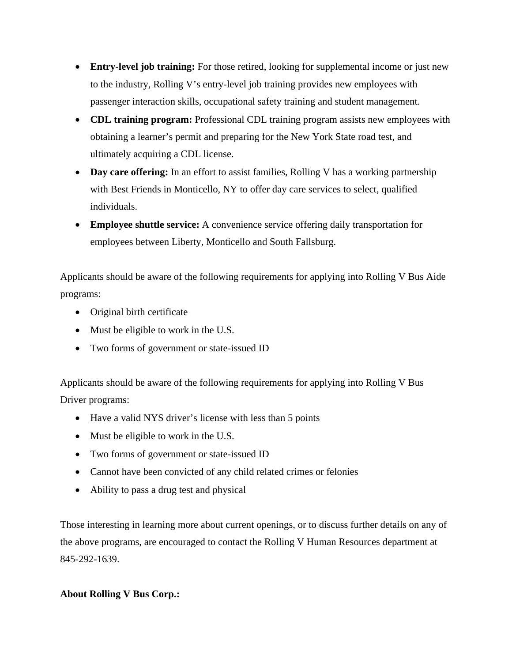- **Entry-level job training:** For those retired, looking for supplemental income or just new to the industry, Rolling V's entry-level job training provides new employees with passenger interaction skills, occupational safety training and student management.
- **CDL training program:** Professional CDL training program assists new employees with obtaining a learner's permit and preparing for the New York State road test, and ultimately acquiring a CDL license.
- Day care offering: In an effort to assist families, Rolling V has a working partnership with Best Friends in Monticello, NY to offer day care services to select, qualified individuals.
- **Employee shuttle service:** A convenience service offering daily transportation for employees between Liberty, Monticello and South Fallsburg.

Applicants should be aware of the following requirements for applying into Rolling V Bus Aide programs:

- Original birth certificate
- Must be eligible to work in the U.S.
- Two forms of government or state-issued ID

Applicants should be aware of the following requirements for applying into Rolling V Bus Driver programs:

- Have a valid NYS driver's license with less than 5 points
- Must be eligible to work in the U.S.
- Two forms of government or state-issued ID
- Cannot have been convicted of any child related crimes or felonies
- Ability to pass a drug test and physical

Those interesting in learning more about current openings, or to discuss further details on any of the above programs, are encouraged to contact the Rolling V Human Resources department at 845-292-1639.

## **About Rolling V Bus Corp.:**